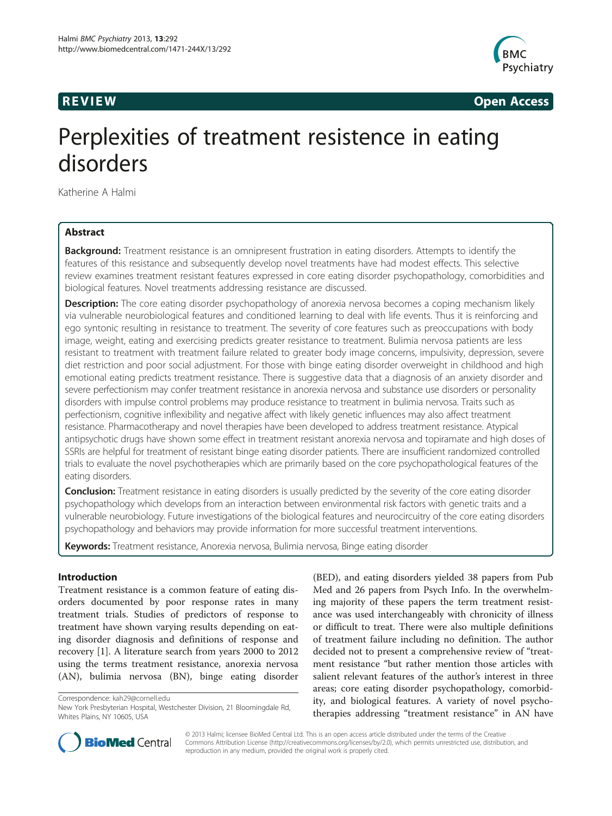

**REVIEW REVIEW CONSTRUCTER ACCESS** 

# Perplexities of treatment resistence in eating disorders

Katherine A Halmi

# Abstract

**Background:** Treatment resistance is an omnipresent frustration in eating disorders. Attempts to identify the features of this resistance and subsequently develop novel treatments have had modest effects. This selective review examines treatment resistant features expressed in core eating disorder psychopathology, comorbidities and biological features. Novel treatments addressing resistance are discussed.

**Description:** The core eating disorder psychopathology of anorexia nervosa becomes a coping mechanism likely via vulnerable neurobiological features and conditioned learning to deal with life events. Thus it is reinforcing and ego syntonic resulting in resistance to treatment. The severity of core features such as preoccupations with body image, weight, eating and exercising predicts greater resistance to treatment. Bulimia nervosa patients are less resistant to treatment with treatment failure related to greater body image concerns, impulsivity, depression, severe diet restriction and poor social adjustment. For those with binge eating disorder overweight in childhood and high emotional eating predicts treatment resistance. There is suggestive data that a diagnosis of an anxiety disorder and severe perfectionism may confer treatment resistance in anorexia nervosa and substance use disorders or personality disorders with impulse control problems may produce resistance to treatment in bulimia nervosa. Traits such as perfectionism, cognitive inflexibility and negative affect with likely genetic influences may also affect treatment resistance. Pharmacotherapy and novel therapies have been developed to address treatment resistance. Atypical antipsychotic drugs have shown some effect in treatment resistant anorexia nervosa and topiramate and high doses of SSRIs are helpful for treatment of resistant binge eating disorder patients. There are insufficient randomized controlled trials to evaluate the novel psychotherapies which are primarily based on the core psychopathological features of the eating disorders.

**Conclusion:** Treatment resistance in eating disorders is usually predicted by the severity of the core eating disorder psychopathology which develops from an interaction between environmental risk factors with genetic traits and a vulnerable neurobiology. Future investigations of the biological features and neurocircuitry of the core eating disorders psychopathology and behaviors may provide information for more successful treatment interventions.

Keywords: Treatment resistance, Anorexia nervosa, Bulimia nervosa, Binge eating disorder

# Introduction

Treatment resistance is a common feature of eating disorders documented by poor response rates in many treatment trials. Studies of predictors of response to treatment have shown varying results depending on eating disorder diagnosis and definitions of response and recovery [[1\]](#page-4-0). A literature search from years 2000 to 2012 using the terms treatment resistance, anorexia nervosa (AN), bulimia nervosa (BN), binge eating disorder

Correspondence: [kah29@cornell.edu](mailto:kah29@cornell.edu)

(BED), and eating disorders yielded 38 papers from Pub Med and 26 papers from Psych Info. In the overwhelming majority of these papers the term treatment resistance was used interchangeably with chronicity of illness or difficult to treat. There were also multiple definitions of treatment failure including no definition. The author decided not to present a comprehensive review of "treatment resistance "but rather mention those articles with salient relevant features of the author's interest in three areas; core eating disorder psychopathology, comorbidity, and biological features. A variety of novel psychotherapies addressing "treatment resistance" in AN have



© 2013 Halmi; licensee BioMed Central Ltd. This is an open access article distributed under the terms of the Creative Commons Attribution License [\(http://creativecommons.org/licenses/by/2.0\)](http://creativecommons.org/licenses/by/2.0), which permits unrestricted use, distribution, and reproduction in any medium, provided the original work is properly cited.

New York Presbyterian Hospital, Westchester Division, 21 Bloomingdale Rd, Whites Plains, NY 10605, USA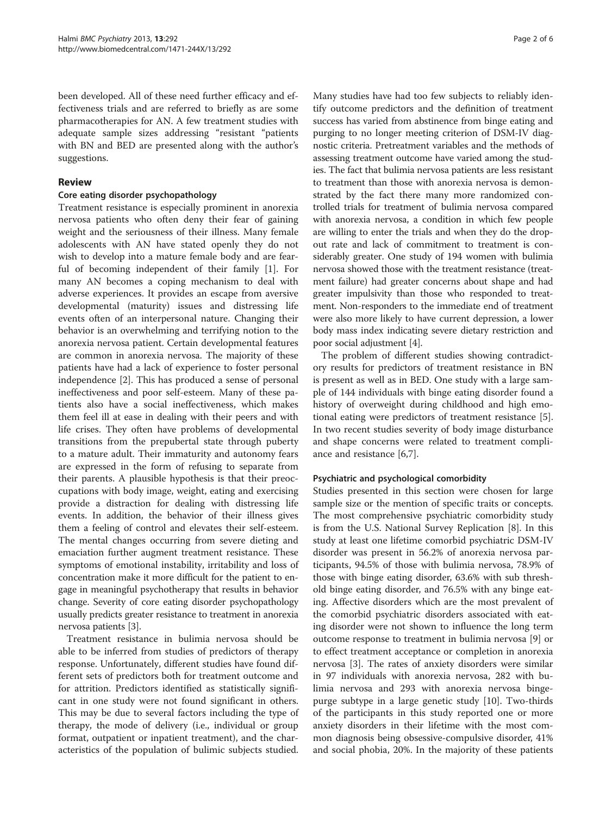been developed. All of these need further efficacy and effectiveness trials and are referred to briefly as are some pharmacotherapies for AN. A few treatment studies with adequate sample sizes addressing "resistant "patients with BN and BED are presented along with the author's suggestions.

#### Review

#### Core eating disorder psychopathology

Treatment resistance is especially prominent in anorexia nervosa patients who often deny their fear of gaining weight and the seriousness of their illness. Many female adolescents with AN have stated openly they do not wish to develop into a mature female body and are fearful of becoming independent of their family [[1\]](#page-4-0). For many AN becomes a coping mechanism to deal with adverse experiences. It provides an escape from aversive developmental (maturity) issues and distressing life events often of an interpersonal nature. Changing their behavior is an overwhelming and terrifying notion to the anorexia nervosa patient. Certain developmental features are common in anorexia nervosa. The majority of these patients have had a lack of experience to foster personal independence [\[2](#page-4-0)]. This has produced a sense of personal ineffectiveness and poor self-esteem. Many of these patients also have a social ineffectiveness, which makes them feel ill at ease in dealing with their peers and with life crises. They often have problems of developmental transitions from the prepubertal state through puberty to a mature adult. Their immaturity and autonomy fears are expressed in the form of refusing to separate from their parents. A plausible hypothesis is that their preoccupations with body image, weight, eating and exercising provide a distraction for dealing with distressing life events. In addition, the behavior of their illness gives them a feeling of control and elevates their self-esteem. The mental changes occurring from severe dieting and emaciation further augment treatment resistance. These symptoms of emotional instability, irritability and loss of concentration make it more difficult for the patient to engage in meaningful psychotherapy that results in behavior change. Severity of core eating disorder psychopathology usually predicts greater resistance to treatment in anorexia nervosa patients [[3](#page-4-0)].

Treatment resistance in bulimia nervosa should be able to be inferred from studies of predictors of therapy response. Unfortunately, different studies have found different sets of predictors both for treatment outcome and for attrition. Predictors identified as statistically significant in one study were not found significant in others. This may be due to several factors including the type of therapy, the mode of delivery (i.e., individual or group format, outpatient or inpatient treatment), and the characteristics of the population of bulimic subjects studied.

Many studies have had too few subjects to reliably identify outcome predictors and the definition of treatment success has varied from abstinence from binge eating and purging to no longer meeting criterion of DSM-IV diagnostic criteria. Pretreatment variables and the methods of assessing treatment outcome have varied among the studies. The fact that bulimia nervosa patients are less resistant to treatment than those with anorexia nervosa is demonstrated by the fact there many more randomized controlled trials for treatment of bulimia nervosa compared with anorexia nervosa, a condition in which few people are willing to enter the trials and when they do the dropout rate and lack of commitment to treatment is considerably greater. One study of 194 women with bulimia nervosa showed those with the treatment resistance (treatment failure) had greater concerns about shape and had greater impulsivity than those who responded to treatment. Non-responders to the immediate end of treatment were also more likely to have current depression, a lower body mass index indicating severe dietary restriction and poor social adjustment [\[4](#page-4-0)].

The problem of different studies showing contradictory results for predictors of treatment resistance in BN is present as well as in BED. One study with a large sample of 144 individuals with binge eating disorder found a history of overweight during childhood and high emotional eating were predictors of treatment resistance [\[5](#page-4-0)]. In two recent studies severity of body image disturbance and shape concerns were related to treatment compliance and resistance [\[6,7](#page-4-0)].

## Psychiatric and psychological comorbidity

Studies presented in this section were chosen for large sample size or the mention of specific traits or concepts. The most comprehensive psychiatric comorbidity study is from the U.S. National Survey Replication [[8](#page-4-0)]. In this study at least one lifetime comorbid psychiatric DSM-IV disorder was present in 56.2% of anorexia nervosa participants, 94.5% of those with bulimia nervosa, 78.9% of those with binge eating disorder, 63.6% with sub threshold binge eating disorder, and 76.5% with any binge eating. Affective disorders which are the most prevalent of the comorbid psychiatric disorders associated with eating disorder were not shown to influence the long term outcome response to treatment in bulimia nervosa [[9\]](#page-4-0) or to effect treatment acceptance or completion in anorexia nervosa [\[3](#page-4-0)]. The rates of anxiety disorders were similar in 97 individuals with anorexia nervosa, 282 with bulimia nervosa and 293 with anorexia nervosa bingepurge subtype in a large genetic study [[10](#page-4-0)]. Two-thirds of the participants in this study reported one or more anxiety disorders in their lifetime with the most common diagnosis being obsessive-compulsive disorder, 41% and social phobia, 20%. In the majority of these patients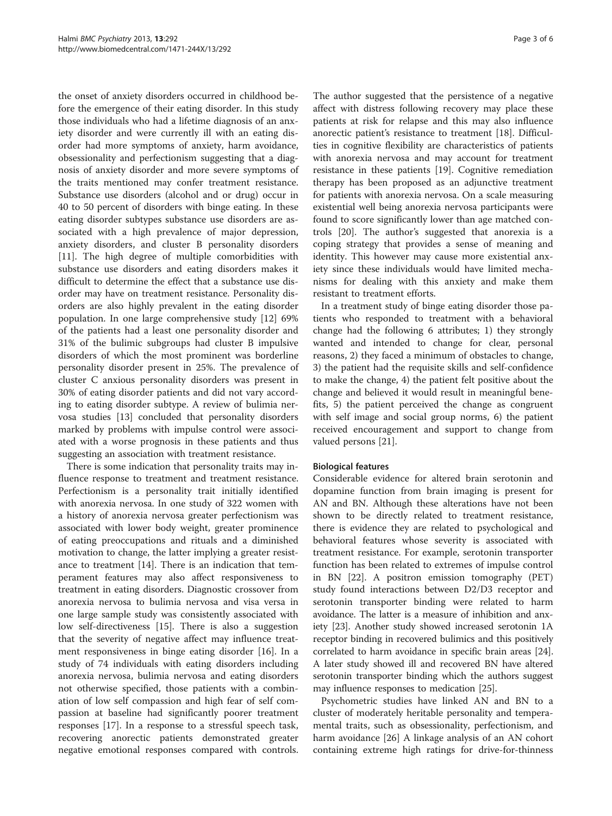the onset of anxiety disorders occurred in childhood before the emergence of their eating disorder. In this study those individuals who had a lifetime diagnosis of an anxiety disorder and were currently ill with an eating disorder had more symptoms of anxiety, harm avoidance, obsessionality and perfectionism suggesting that a diagnosis of anxiety disorder and more severe symptoms of the traits mentioned may confer treatment resistance. Substance use disorders (alcohol and or drug) occur in 40 to 50 percent of disorders with binge eating. In these eating disorder subtypes substance use disorders are associated with a high prevalence of major depression, anxiety disorders, and cluster B personality disorders [[11\]](#page-4-0). The high degree of multiple comorbidities with substance use disorders and eating disorders makes it difficult to determine the effect that a substance use disorder may have on treatment resistance. Personality disorders are also highly prevalent in the eating disorder population. In one large comprehensive study [[12\]](#page-4-0) 69% of the patients had a least one personality disorder and 31% of the bulimic subgroups had cluster B impulsive disorders of which the most prominent was borderline personality disorder present in 25%. The prevalence of cluster C anxious personality disorders was present in 30% of eating disorder patients and did not vary according to eating disorder subtype. A review of bulimia nervosa studies [\[13](#page-4-0)] concluded that personality disorders marked by problems with impulse control were associated with a worse prognosis in these patients and thus suggesting an association with treatment resistance.

There is some indication that personality traits may influence response to treatment and treatment resistance. Perfectionism is a personality trait initially identified with anorexia nervosa. In one study of 322 women with a history of anorexia nervosa greater perfectionism was associated with lower body weight, greater prominence of eating preoccupations and rituals and a diminished motivation to change, the latter implying a greater resistance to treatment [\[14](#page-4-0)]. There is an indication that temperament features may also affect responsiveness to treatment in eating disorders. Diagnostic crossover from anorexia nervosa to bulimia nervosa and visa versa in one large sample study was consistently associated with low self-directiveness [[15](#page-4-0)]. There is also a suggestion that the severity of negative affect may influence treatment responsiveness in binge eating disorder [\[16\]](#page-4-0). In a study of 74 individuals with eating disorders including anorexia nervosa, bulimia nervosa and eating disorders not otherwise specified, those patients with a combination of low self compassion and high fear of self compassion at baseline had significantly poorer treatment responses [\[17](#page-4-0)]. In a response to a stressful speech task, recovering anorectic patients demonstrated greater negative emotional responses compared with controls.

The author suggested that the persistence of a negative affect with distress following recovery may place these patients at risk for relapse and this may also influence anorectic patient's resistance to treatment [[18\]](#page-4-0). Difficulties in cognitive flexibility are characteristics of patients with anorexia nervosa and may account for treatment resistance in these patients [[19](#page-4-0)]. Cognitive remediation therapy has been proposed as an adjunctive treatment for patients with anorexia nervosa. On a scale measuring existential well being anorexia nervosa participants were found to score significantly lower than age matched controls [\[20\]](#page-4-0). The author's suggested that anorexia is a coping strategy that provides a sense of meaning and identity. This however may cause more existential anxiety since these individuals would have limited mechanisms for dealing with this anxiety and make them resistant to treatment efforts.

In a treatment study of binge eating disorder those patients who responded to treatment with a behavioral change had the following 6 attributes; 1) they strongly wanted and intended to change for clear, personal reasons, 2) they faced a minimum of obstacles to change, 3) the patient had the requisite skills and self-confidence to make the change, 4) the patient felt positive about the change and believed it would result in meaningful benefits, 5) the patient perceived the change as congruent with self image and social group norms, 6) the patient received encouragement and support to change from valued persons [[21](#page-4-0)].

## Biological features

Considerable evidence for altered brain serotonin and dopamine function from brain imaging is present for AN and BN. Although these alterations have not been shown to be directly related to treatment resistance, there is evidence they are related to psychological and behavioral features whose severity is associated with treatment resistance. For example, serotonin transporter function has been related to extremes of impulse control in BN [[22\]](#page-4-0). A positron emission tomography (PET) study found interactions between D2/D3 receptor and serotonin transporter binding were related to harm avoidance. The latter is a measure of inhibition and anxiety [\[23\]](#page-4-0). Another study showed increased serotonin 1A receptor binding in recovered bulimics and this positively correlated to harm avoidance in specific brain areas [[24](#page-4-0)]. A later study showed ill and recovered BN have altered serotonin transporter binding which the authors suggest may influence responses to medication [\[25\]](#page-4-0).

Psychometric studies have linked AN and BN to a cluster of moderately heritable personality and temperamental traits, such as obsessionality, perfectionism, and harm avoidance [\[26](#page-4-0)] A linkage analysis of an AN cohort containing extreme high ratings for drive-for-thinness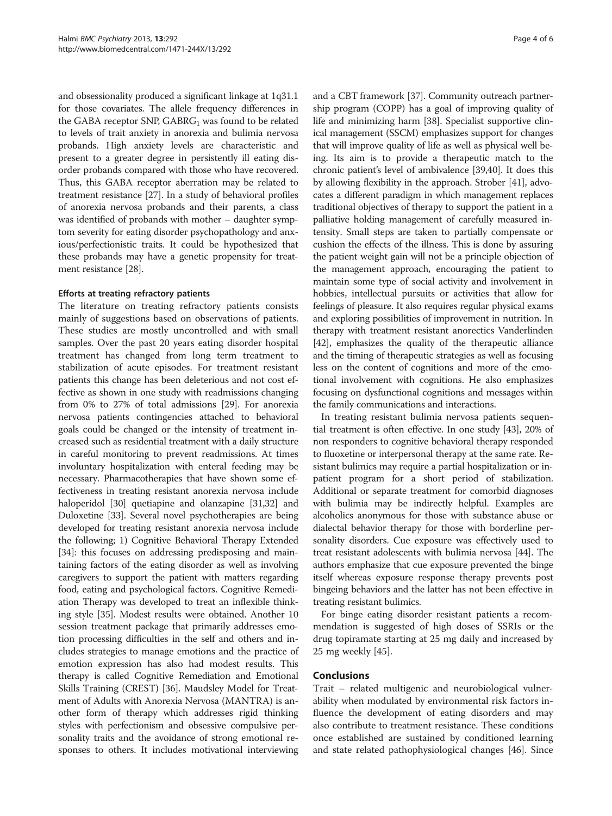and obsessionality produced a significant linkage at 1q31.1 for those covariates. The allele frequency differences in the GABA receptor SNP,  $GABRG<sub>1</sub>$  was found to be related to levels of trait anxiety in anorexia and bulimia nervosa probands. High anxiety levels are characteristic and present to a greater degree in persistently ill eating disorder probands compared with those who have recovered. Thus, this GABA receptor aberration may be related to treatment resistance [\[27\]](#page-4-0). In a study of behavioral profiles of anorexia nervosa probands and their parents, a class was identified of probands with mother – daughter symptom severity for eating disorder psychopathology and anxious/perfectionistic traits. It could be hypothesized that these probands may have a genetic propensity for treatment resistance [\[28\]](#page-4-0).

#### Efforts at treating refractory patients

The literature on treating refractory patients consists mainly of suggestions based on observations of patients. These studies are mostly uncontrolled and with small samples. Over the past 20 years eating disorder hospital treatment has changed from long term treatment to stabilization of acute episodes. For treatment resistant patients this change has been deleterious and not cost effective as shown in one study with readmissions changing from 0% to 27% of total admissions [\[29](#page-4-0)]. For anorexia nervosa patients contingencies attached to behavioral goals could be changed or the intensity of treatment increased such as residential treatment with a daily structure in careful monitoring to prevent readmissions. At times involuntary hospitalization with enteral feeding may be necessary. Pharmacotherapies that have shown some effectiveness in treating resistant anorexia nervosa include haloperidol [\[30\]](#page-4-0) quetiapine and olanzapine [\[31,32](#page-4-0)] and Duloxetine [[33](#page-4-0)]. Several novel psychotherapies are being developed for treating resistant anorexia nervosa include the following; 1) Cognitive Behavioral Therapy Extended [[34](#page-4-0)]: this focuses on addressing predisposing and maintaining factors of the eating disorder as well as involving caregivers to support the patient with matters regarding food, eating and psychological factors. Cognitive Remediation Therapy was developed to treat an inflexible thinking style [[35](#page-4-0)]. Modest results were obtained. Another 10 session treatment package that primarily addresses emotion processing difficulties in the self and others and includes strategies to manage emotions and the practice of emotion expression has also had modest results. This therapy is called Cognitive Remediation and Emotional Skills Training (CREST) [\[36\]](#page-4-0). Maudsley Model for Treatment of Adults with Anorexia Nervosa (MANTRA) is another form of therapy which addresses rigid thinking styles with perfectionism and obsessive compulsive personality traits and the avoidance of strong emotional responses to others. It includes motivational interviewing

and a CBT framework [[37](#page-4-0)]. Community outreach partnership program (COPP) has a goal of improving quality of life and minimizing harm [[38](#page-4-0)]. Specialist supportive clinical management (SSCM) emphasizes support for changes that will improve quality of life as well as physical well being. Its aim is to provide a therapeutic match to the chronic patient's level of ambivalence [[39,40](#page-4-0)]. It does this by allowing flexibility in the approach. Strober [\[41\]](#page-5-0), advocates a different paradigm in which management replaces traditional objectives of therapy to support the patient in a palliative holding management of carefully measured intensity. Small steps are taken to partially compensate or cushion the effects of the illness. This is done by assuring the patient weight gain will not be a principle objection of the management approach, encouraging the patient to maintain some type of social activity and involvement in hobbies, intellectual pursuits or activities that allow for feelings of pleasure. It also requires regular physical exams and exploring possibilities of improvement in nutrition. In therapy with treatment resistant anorectics Vanderlinden [[42](#page-5-0)], emphasizes the quality of the therapeutic alliance and the timing of therapeutic strategies as well as focusing less on the content of cognitions and more of the emotional involvement with cognitions. He also emphasizes focusing on dysfunctional cognitions and messages within the family communications and interactions.

In treating resistant bulimia nervosa patients sequential treatment is often effective. In one study [[43](#page-5-0)], 20% of non responders to cognitive behavioral therapy responded to fluoxetine or interpersonal therapy at the same rate. Resistant bulimics may require a partial hospitalization or inpatient program for a short period of stabilization. Additional or separate treatment for comorbid diagnoses with bulimia may be indirectly helpful. Examples are alcoholics anonymous for those with substance abuse or dialectal behavior therapy for those with borderline personality disorders. Cue exposure was effectively used to treat resistant adolescents with bulimia nervosa [\[44](#page-5-0)]. The authors emphasize that cue exposure prevented the binge itself whereas exposure response therapy prevents post bingeing behaviors and the latter has not been effective in treating resistant bulimics.

For binge eating disorder resistant patients a recommendation is suggested of high doses of SSRIs or the drug topiramate starting at 25 mg daily and increased by 25 mg weekly [[45\]](#page-5-0).

#### Conclusions

Trait – related multigenic and neurobiological vulnerability when modulated by environmental risk factors influence the development of eating disorders and may also contribute to treatment resistance. These conditions once established are sustained by conditioned learning and state related pathophysiological changes [[46\]](#page-5-0). Since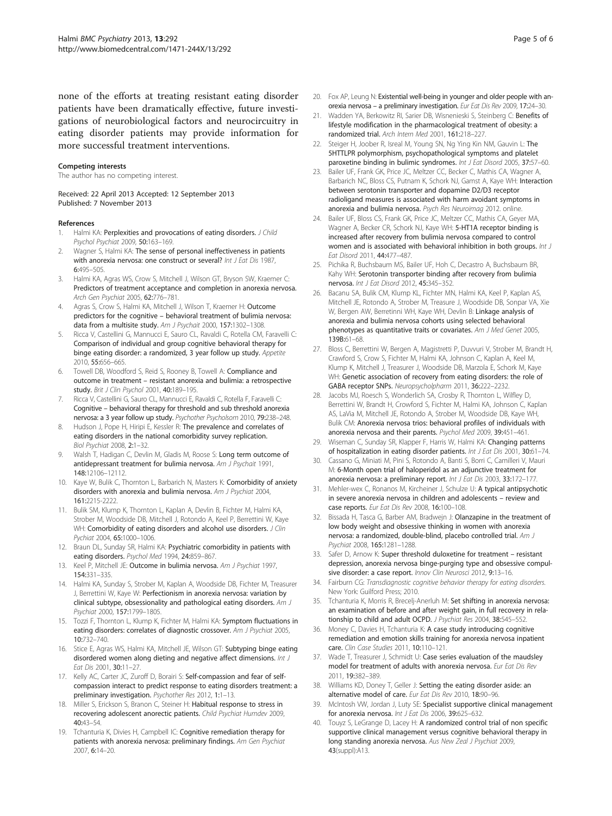<span id="page-4-0"></span>none of the efforts at treating resistant eating disorder patients have been dramatically effective, future investigations of neurobiological factors and neurocircuitry in eating disorder patients may provide information for more successful treatment interventions.

#### Competing interests

The author has no competing interest.

Received: 22 April 2013 Accepted: 12 September 2013 Published: 7 November 2013

#### References

- 1. Halmi KA: Perplexities and provocations of eating disorders. J Child Psychol Psychiat 2009, 50:163–169.
- 2. Wagner S, Halmi KA: The sense of personal ineffectiveness in patients with anorexia nervosa: one construct or several? Int J Eat Dis 1987, 6:495–505.
- 3. Halmi KA, Agras WS, Crow S, Mitchell J, Wilson GT, Bryson SW, Kraemer C: Predictors of treatment acceptance and completion in anorexia nervosa. Arch Gen Psychiat 2005, 62:776–781.
- 4. Agras S, Crow S, Halmi KA, Mitchell J, Wilson T, Kraemer H: Outcome predictors for the cognitive – behavioral treatment of bulimia nervosa: data from a multisite study. Am J Psychait 2000, 157:1302-1308.
- Ricca V, Castellini G, Mannucci E, Sauro CL, Ravaldi C, Rotella CM, Faravelli C: Comparison of individual and group cognitive behavioral therapy for binge eating disorder: a randomized, 3 year follow up study. Appetite 2010, 55:656–665.
- 6. Towell DB, Woodford S, Reid S, Rooney B, Towell A: Compliance and outcome in treatment – resistant anorexia and bulimia: a retrospective study. Brit J Clin Psychol 2001, 40:189-195.
- 7. Ricca V, Castellini G, Sauro CL, Mannucci E, Ravaldi C, Rotella F, Faravelli C: Cognitive – behavioral therapy for threshold and sub threshold anorexia nervosa: a 3 year follow up study. Psychother Psycholsom 2010, 79:238–248.
- 8. Hudson J, Pope H, Hiripi E, Kessler R: The prevalence and correlates of eating disorders in the national comorbidity survey replication. Biol Psychiat 2008, 2:1–32.
- Walsh T, Hadigan C, Devlin M, Gladis M, Roose S: Long term outcome of antidepressant treatment for bulimia nervosa. Am J Psychait 1991, 148:12106–12112.
- 10. Kaye W, Bulik C, Thornton L, Barbarich N, Masters K; Comorbidity of anxiety disorders with anorexia and bulimia nervosa. Am J Psychiat 2004, 161:2215-2222.
- 11. Bulik SM, Klump K, Thornton L, Kaplan A, Devlin B, Fichter M, Halmi KA, Strober M, Woodside DB, Mitchell J, Rotondo A, Keel P, Berrettini W, Kaye WH: Comorbidity of eating disorders and alcohol use disorders. J Clin Pychiat 2004, 65:1000–1006.
- 12. Braun DL, Sunday SR, Halmi KA: Psychiatric comorbidity in patients with eating disorders. Psychol Med 1994, 24:859-867.
- 13. Keel P, Mitchell JE: Outcome in bulimia nervosa. Am J Psychiat 1997, 154:331–335.
- 14. Halmi KA, Sunday S, Strober M, Kaplan A, Woodside DB, Fichter M, Treasurer J, Berrettini W, Kaye W: Perfectionism in anorexia nervosa: variation by clinical subtype, obsessionality and pathological eating disorders. Am J Psychiat 2000, 157:1799–1805.
- 15. Tozzi F, Thornton L, Klump K, Fichter M, Halmi KA: Symptom fluctuations in eating disorders: correlates of diagnostic crossover. Am J Psychiat 2005, 10:732–740.
- 16. Stice E, Agras WS, Halmi KA, Mitchell JE, Wilson GT: Subtyping binge eating disordered women along dieting and negative affect dimensions. Int J Eat Dis 2001, 30:11–27.
- 17. Kelly AC, Carter JC, Zuroff D, Borairi S: Self-compassion and fear of selfcompassion interact to predict response to eating disorders treatment: a preliminary investigation. Psychother Res 2012, 1:1-13.
- 18. Miller S, Erickson S, Branon C, Steiner H: Habitual response to stress in recovering adolescent anorectic patients. Child Psychiat Humdev 2009, 40:43–54.
- 19. Tchanturia K, Divies H, Campbell IC: Cognitive remediation therapy for patients with anorexia nervosa: preliminary findings. Am Gen Psychiat 2007, 6:14–20.
- 20. Fox AP, Leung N: Existential well-being in younger and older people with anorexia nervosa – a preliminary investigation. Eur Eat Dis Rev 2009, 17:24–30.
- 21. Wadden YA, Berkowitz RI, Sarier DB, Wisnenieski S, Steinberg C: Benefits of lifestyle modification in the pharmacological treatment of obesity: a randomized trial. Arch Intern Med 2001, 161:218–227.
- 22. Steiger H, Joober R, Isreal M, Young SN, Ng Ying Kin NM, Gauvin L: The 5HTTLPR polymorphism, psychopathological symptoms and platelet paroxetine binding in bulimic syndromes. Int J Eat Disord 2005, 37:57-60.
- 23. Bailer UF, Frank GK, Price JC, Meltzer CC, Becker C, Mathis CA, Wagner A, Barbarich NC, Bloss CS, Putnam K, Schork NJ, Gamst A, Kaye WH: Interaction between serotonin transporter and dopamine D2/D3 receptor radioligand measures is associated with harm avoidant symptoms in anorexia and bulimia nervosa. Psych Res Neuroimag 2012. online.
- 24. Bailer UF, Bloss CS, Frank GK, Price JC, Meltzer CC, Mathis CA, Geyer MA, Wagner A, Becker CR, Schork NJ, Kaye WH: 5-HT1A receptor binding is increased after recovery from bulimia nervosa compared to control women and is associated with behavioral inhibition in both groups. Int J Eat Disord 2011, 44:477–487.
- 25. Pichika R, Buchsbaum MS, Bailer UF, Hoh C, Decastro A, Buchsbaum BR, Kahy WH: Serotonin transporter binding after recovery from bulimia nervosa. Int J Eat Disord 2012, 45:345–352.
- 26. Bacanu SA, Bulik CM, Klump KL, Fichter MN, Halmi KA, Keel P, Kaplan AS, Mitchell JE, Rotondo A, Strober M, Treasure J, Woodside DB, Sonpar VA, Xie W, Bergen AW, Berretinni WH, Kaye WH, Devlin B: Linkage analysis of anorexia and bulimia nervosa cohorts using selected behavioral phenotypes as quantitative traits or covariates. Am J Med Genet 2005, 139B:61–68.
- 27. Bloss C, Berrettini W, Bergen A, Magistretti P, Duvvuri V, Strober M, Brandt H, Crawford S, Crow S, Fichter M, Halmi KA, Johnson C, Kaplan A, Keel M, Klump K, Mitchell J, Treasurer J, Woodside DB, Marzola E, Schork M, Kaye WH: Genetic association of recovery from eating disorders: the role of GABA receptor SNPs. Neuropsycholpharm 2011, 36:222–2232.
- 28. Jacobs MJ, Roesch S, Wonderlich SA, Crosby R, Thornton L, Wilfley D, Berrettini W, Brandt H, Crowford S, Fichter M, Halmi KA, Johnson C, Kaplan AS, LaVia M, Mitchell JE, Rotondo A, Strober M, Woodside DB, Kaye WH, Bulik CM: Anorexia nervosa trios: behavioral profiles of individuals with anorexia nervosa and their parents. Psychol Med 2009, 39:451–461.
- 29. Wiseman C, Sunday SR, Klapper F, Harris W, Halmi KA: Changing patterns of hospitalization in eating disorder patients. Int J Eat Dis 2001, 30:61-74.
- 30. Cassano G, Miniati M, Pini S, Rotondo A, Banti S, Borri C, Camilleri V, Mauri M: 6-Month open trial of haloperidol as an adjunctive treatment for anorexia nervosa: a preliminary report. Int J Eat Dis 2003, 33:172-177.
- 31. Mehler-wex C, Ronanos M, Kircheiner J, Schulze U: A typical antipsychotic in severe anorexia nervosa in children and adolescents – review and case reports. Eur Eat Dis Rev 2008, 16:100–108.
- 32. Bissada H, Tasca G, Barber AM, Bradwein J: Olanzapine in the treatment of low body weight and obsessive thinking in women with anorexia nervosa: a randomized, double-blind, placebo controlled trial. Am J Psychiat 2008, 165:1281–1288.
- 33. Safer D, Arnow K: Super threshold duloxetine for treatment resistant depression, anorexia nervosa binge-purging type and obsessive compulsive disorder: a case report. Innov Clin Neurosci 2012, 9:13-16.
- 34. Fairburn CG: Transdiagnostic cognitive behavior therapy for eating disorders. New York: Guilford Press; 2010.
- 35. Tchanturia K, Morris R, Brecelj-Anerluh M: Set shifting in anorexia nervosa: an examination of before and after weight gain, in full recovery in relationship to child and adult OCPD. J Psychiat Res 2004, 38:545-55.
- 36. Money C, Davies H, Tchanturia K: A case study introducing cognitive remediation and emotion skills training for anorexia nervosa inpatient care. Clin Case Studies 2011, 10:110–121.
- 37. Wade T, Treasurer J, Schmidt U: Case series evaluation of the maudsley model for treatment of adults with anorexia nervosa. Eur Eat Dis Rev 2011, 19:382–389.
- 38. Williams KD, Doney T, Geller J: Setting the eating disorder aside: an alternative model of care. Eur Eat Dis Rev 2010, 18:90–96.
- 39. McIntosh VW, Jordan J, Luty SE: Specialist supportive clinical management for anorexia nervosa. Int J Eat Dis 2006, 39:625-632.
- 40. Touyz S, LeGrange D, Lacey H: A randomized control trial of non specific supportive clinical management versus cognitive behavioral therapy in long standing anorexia nervosa. Aus New Zeal J Psychiat 2009, 43(suppl):A13.